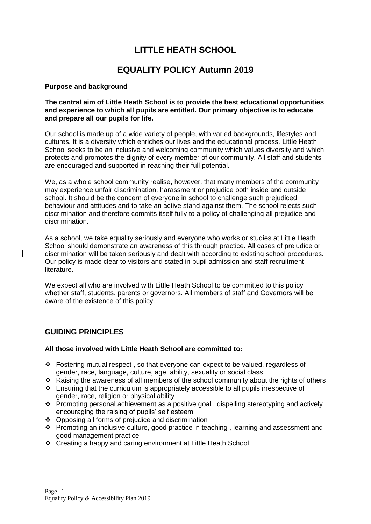# **LITTLE HEATH SCHOOL**

# **EQUALITY POLICY Autumn 2019**

# **Purpose and background**

#### **The central aim of Little Heath School is to provide the best educational opportunities and experience to which all pupils are entitled. Our primary objective is to educate and prepare all our pupils for life.**

Our school is made up of a wide variety of people, with varied backgrounds, lifestyles and cultures. It is a diversity which enriches our lives and the educational process. Little Heath School seeks to be an inclusive and welcoming community which values diversity and which protects and promotes the dignity of every member of our community. All staff and students are encouraged and supported in reaching their full potential.

We, as a whole school community realise, however, that many members of the community may experience unfair discrimination, harassment or prejudice both inside and outside school. It should be the concern of everyone in school to challenge such prejudiced behaviour and attitudes and to take an active stand against them. The school rejects such discrimination and therefore commits itself fully to a policy of challenging all prejudice and discrimination.

As a school, we take equality seriously and everyone who works or studies at Little Heath School should demonstrate an awareness of this through practice. All cases of prejudice or discrimination will be taken seriously and dealt with according to existing school procedures. Our policy is made clear to visitors and stated in pupil admission and staff recruitment literature.

We expect all who are involved with Little Heath School to be committed to this policy whether staff, students, parents or governors. All members of staff and Governors will be aware of the existence of this policy.

# **GUIDING PRINCIPLES**

# **All those involved with Little Heath School are committed to:**

- Fostering mutual respect , so that everyone can expect to be valued, regardless of gender, race, language, culture, age, ability, sexuality or social class
- \* Raising the awareness of all members of the school community about the rights of others
- $\div$  Ensuring that the curriculum is appropriately accessible to all pupils irrespective of gender, race, religion or physical ability
- \* Promoting personal achievement as a positive goal, dispelling stereotyping and actively encouraging the raising of pupils' self esteem
- Opposing all forms of prejudice and discrimination
- \* Promoting an inclusive culture, good practice in teaching, learning and assessment and good management practice
- Creating a happy and caring environment at Little Heath School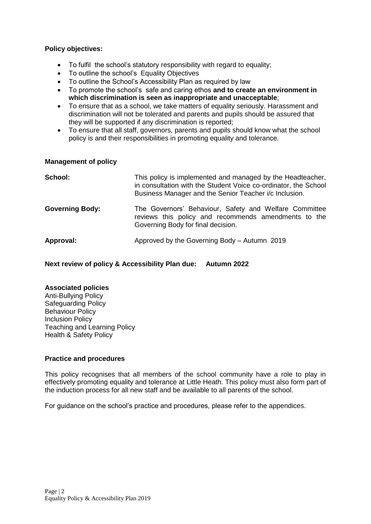# **Policy objectives:**

- To fulfil the school's statutory responsibility with regard to equality;
- To outline the school's Equality Objectives
- To outline the School's Accessibility Plan as required by law
- To promote the school's safe and caring ethos **and to create an environment in which discrimination is seen as inappropriate and unacceptable**;
- To ensure that as a school, we take matters of equality seriously. Harassment and discrimination will not be tolerated and parents and pupils should be assured that they will be supported if any discrimination is reported;
- To ensure that all staff, governors, parents and pupils should know what the school policy is and their responsibilities in promoting equality and tolerance.

# **Management of policy**

| School:                | This policy is implemented and managed by the Headteacher,<br>in consultation with the Student Voice co-ordinator, the School<br>Business Manager and the Senior Teacher i/c Inclusion. |
|------------------------|-----------------------------------------------------------------------------------------------------------------------------------------------------------------------------------------|
| <b>Governing Body:</b> | The Governors' Behaviour, Safety and Welfare Committee<br>reviews this policy and recommends amendments to the<br>Governing Body for final decision.                                    |
| Approval:              | Approved by the Governing Body - Autumn 2019                                                                                                                                            |

# **Next review of policy & Accessibility Plan due: Autumn 2022**

# **Associated policies**

Anti-Bullying Policy Safeguarding Policy Behaviour Policy **Inclusion Policy** Teaching and Learning Policy Health & Safety Policy

# **Practice and procedures**

This policy recognises that all members of the school community have a role to play in effectively promoting equality and tolerance at Little Heath. This policy must also form part of the induction process for all new staff and be available to all parents of the school.

For guidance on the school's practice and procedures, please refer to the appendices.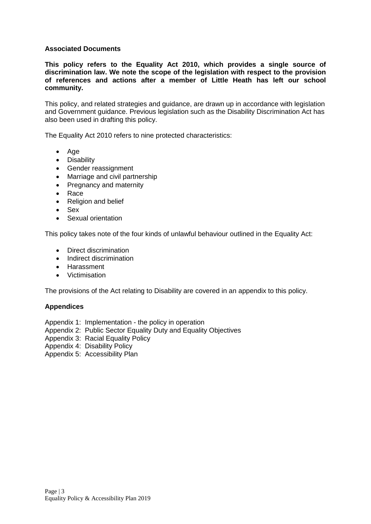# **Associated Documents**

**This policy refers to the Equality Act 2010, which provides a single source of discrimination law. We note the scope of the legislation with respect to the provision of references and actions after a member of Little Heath has left our school community.** 

This policy, and related strategies and guidance, are drawn up in accordance with legislation and Government guidance. Previous legislation such as the Disability Discrimination Act has also been used in drafting this policy.

The Equality Act 2010 refers to nine protected characteristics:

- $\bullet$  Age
- Disability
- Gender reassignment
- Marriage and civil partnership
- Pregnancy and maternity
- Race
- Religion and belief
- Sex
- Sexual orientation

This policy takes note of the four kinds of unlawful behaviour outlined in the Equality Act:

- Direct discrimination
- Indirect discrimination
- Harassment
- Victimisation

The provisions of the Act relating to Disability are covered in an appendix to this policy.

# **Appendices**

Appendix 1: Implementation - the policy in operation

- Appendix 2: Public Sector Equality Duty and Equality Objectives
- Appendix 3: Racial Equality Policy
- Appendix 4: Disability Policy
- Appendix 5: Accessibility Plan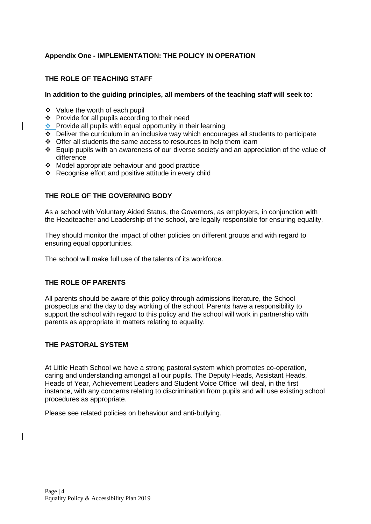# **Appendix One - IMPLEMENTATION: THE POLICY IN OPERATION**

# **THE ROLE OF TEACHING STAFF**

# **In addition to the guiding principles, all members of the teaching staff will seek to:**

- Value the worth of each pupil
- Provide for all pupils according to their need
- $\cdot$  Provide all pupils with equal opportunity in their learning
- Deliver the curriculum in an inclusive way which encourages all students to participate
- Offer all students the same access to resources to help them learn
- Equip pupils with an awareness of our diverse society and an appreciation of the value of difference
- Model appropriate behaviour and good practice
- Recognise effort and positive attitude in every child

# **THE ROLE OF THE GOVERNING BODY**

As a school with Voluntary Aided Status, the Governors, as employers, in conjunction with the Headteacher and Leadership of the school, are legally responsible for ensuring equality.

They should monitor the impact of other policies on different groups and with regard to ensuring equal opportunities.

The school will make full use of the talents of its workforce.

# **THE ROLE OF PARENTS**

All parents should be aware of this policy through admissions literature, the School prospectus and the day to day working of the school. Parents have a responsibility to support the school with regard to this policy and the school will work in partnership with parents as appropriate in matters relating to equality.

# **THE PASTORAL SYSTEM**

At Little Heath School we have a strong pastoral system which promotes co-operation, caring and understanding amongst all our pupils. The Deputy Heads, Assistant Heads, Heads of Year, Achievement Leaders and Student Voice Office will deal, in the first instance, with any concerns relating to discrimination from pupils and will use existing school procedures as appropriate.

Please see related policies on behaviour and anti-bullying.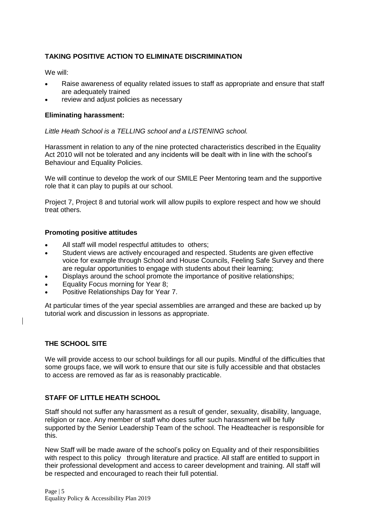# **TAKING POSITIVE ACTION TO ELIMINATE DISCRIMINATION**

We will:

- Raise awareness of equality related issues to staff as appropriate and ensure that staff are adequately trained
- review and adjust policies as necessary

# **Eliminating harassment:**

*Little Heath School is a TELLING school and a LISTENING school.*

Harassment in relation to any of the nine protected characteristics described in the Equality Act 2010 will not be tolerated and any incidents will be dealt with in line with the school's Behaviour and Equality Policies.

We will continue to develop the work of our SMILE Peer Mentoring team and the supportive role that it can play to pupils at our school.

Project 7, Project 8 and tutorial work will allow pupils to explore respect and how we should treat others.

#### **Promoting positive attitudes**

- All staff will model respectful attitudes to others;
- Student views are actively encouraged and respected. Students are given effective voice for example through School and House Councils, Feeling Safe Survey and there are regular opportunities to engage with students about their learning;
- Displays around the school promote the importance of positive relationships;
- Equality Focus morning for Year 8;
- Positive Relationships Day for Year 7.

At particular times of the year special assemblies are arranged and these are backed up by tutorial work and discussion in lessons as appropriate.

# **THE SCHOOL SITE**

We will provide access to our school buildings for all our pupils. Mindful of the difficulties that some groups face, we will work to ensure that our site is fully accessible and that obstacles to access are removed as far as is reasonably practicable.

# **STAFF OF LITTLE HEATH SCHOOL**

Staff should not suffer any harassment as a result of gender, sexuality, disability, language, religion or race. Any member of staff who does suffer such harassment will be fully supported by the Senior Leadership Team of the school. The Headteacher is responsible for this.

New Staff will be made aware of the school's policy on Equality and of their responsibilities with respect to this policy through literature and practice. All staff are entitled to support in their professional development and access to career development and training. All staff will be respected and encouraged to reach their full potential.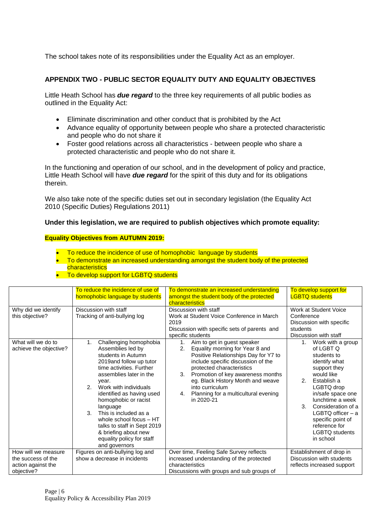The school takes note of its responsibilities under the Equality Act as an employer.

# **APPENDIX TWO - PUBLIC SECTOR EQUALITY DUTY AND EQUALITY OBJECTIVES**

Little Heath School has *due regard* to the three key requirements of all public bodies as outlined in the Equality Act:

- Eliminate discrimination and other conduct that is prohibited by the Act
- Advance equality of opportunity between people who share a protected characteristic and people who do not share it
- Foster good relations across all characteristics between people who share a protected characteristic and people who do not share it.

In the functioning and operation of our school, and in the development of policy and practice, Little Heath School will have *due regard* for the spirit of this duty and for its obligations therein.

We also take note of the specific duties set out in secondary legislation (the Equality Act 2010 (Specific Duties) Regulations 2011)

# **Under this legislation, we are required to publish objectives which promote equality:**

# **Equality Objectives from AUTUMN 2019:**

- To reduce the incidence of use of homophobic language by students
- To demonstrate an increased understanding amongst the student body of the protected characteristics
- To develop support for LGBTQ students

|                                                                               | To reduce the incidence of use of<br>homophobic language by students                                                                                                                                                                                                                                                                                                                                                                         | To demonstrate an increased understanding<br>amongst the student body of the protected<br>characteristics                                                                                                                                                                                                                                            | To develop support for<br><b>LGBTQ students</b>                                                                                                                                                                                                                                                      |
|-------------------------------------------------------------------------------|----------------------------------------------------------------------------------------------------------------------------------------------------------------------------------------------------------------------------------------------------------------------------------------------------------------------------------------------------------------------------------------------------------------------------------------------|------------------------------------------------------------------------------------------------------------------------------------------------------------------------------------------------------------------------------------------------------------------------------------------------------------------------------------------------------|------------------------------------------------------------------------------------------------------------------------------------------------------------------------------------------------------------------------------------------------------------------------------------------------------|
| Why did we identify<br>this objective?                                        | Discussion with staff<br>Tracking of anti-bullying log                                                                                                                                                                                                                                                                                                                                                                                       | Discussion with staff<br>Work at Student Voice Conference in March<br>2019<br>Discussion with specific sets of parents and<br>specific students                                                                                                                                                                                                      | Work at Student Voice<br>Conference<br>Discussion with specific<br>students<br>Discussion with staff                                                                                                                                                                                                 |
| What will we do to<br>achieve the objective?                                  | Challenging homophobia<br>1.<br>Assemblies led by<br>students in Autumn<br>2019and follow up tutor<br>time activities. Further<br>assemblies later in the<br>year.<br>Work with individuals<br>2 <sub>1</sub><br>identified as having used<br>homophobic or racist<br>language<br>3<br>This is included as a<br>whole school focus - HT<br>talks to staff in Sept 2019<br>& briefing about new<br>equality policy for staff<br>and governors | Aim to get in guest speaker<br>1.<br>Equality morning for Year 8 and<br>2.<br>Positive Relationships Day for Y7 to<br>include specific discussion of the<br>protected characteristics<br>Promotion of key awareness months<br>3.<br>eg. Black History Month and weave<br>into curriculum<br>Planning for a multicultural evening<br>4.<br>in 2020-21 | Work with a group<br>1.<br>of LGBT Q<br>students to<br>identify what<br>support they<br>would like<br>Establish a<br>2.<br>LGBTQ drop<br>in/safe space one<br>lunchtime a week<br>3.<br>Consideration of a<br>LGBTQ officer - a<br>specific point of<br>reference for<br>LGBTQ students<br>in school |
| How will we measure<br>the success of the<br>action against the<br>objective? | Figures on anti-bullying log and<br>show a decrease in incidents                                                                                                                                                                                                                                                                                                                                                                             | Over time, Feeling Safe Survey reflects<br>increased understanding of the protected<br>characteristics<br>Discussions with groups and sub groups of                                                                                                                                                                                                  | Establishment of drop in<br>Discussion with students<br>reflects increased support                                                                                                                                                                                                                   |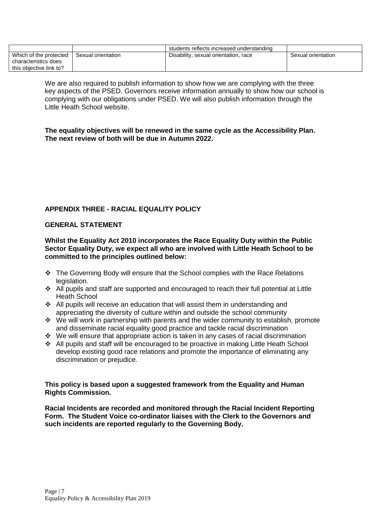|                         |                    | students reflects increased understanding |                    |
|-------------------------|--------------------|-------------------------------------------|--------------------|
| Which of the protected  | Sexual orientation | Disability, sexual orientation, race      | Sexual orientation |
| characteristics does    |                    |                                           |                    |
| this obiective link to? |                    |                                           |                    |

We are also required to publish information to show how we are complying with the three key aspects of the PSED. Governors receive information annually to show how our school is complying with our obligations under PSED. We will also publish information through the Little Heath School website.

#### **The equality objectives will be renewed in the same cycle as the Accessibility Plan. The next review of both will be due in Autumn 2022.**

# **APPENDIX THREE - RACIAL EQUALITY POLICY**

#### **GENERAL STATEMENT**

**Whilst the Equality Act 2010 incorporates the Race Equality Duty within the Public Sector Equality Duty, we expect all who are involved with Little Heath School to be committed to the principles outlined below:** 

- $\div$  The Governing Body will ensure that the School complies with the Race Relations legislation.
- All pupils and staff are supported and encouraged to reach their full potential at Little Heath School
- All pupils will receive an education that will assist them in understanding and appreciating the diversity of culture within and outside the school community
- \* We will work in partnership with parents and the wider community to establish, promote and disseminate racial equality good practice and tackle racial discrimination
- We will ensure that appropriate action is taken in any cases of racial discrimination
- All pupils and staff will be encouraged to be proactive in making Little Heath School develop existing good race relations and promote the importance of eliminating any discrimination or prejudice.

#### **This policy is based upon a suggested framework from the Equality and Human Rights Commission.**

**Racial Incidents are recorded and monitored through the Racial Incident Reporting Form. The Student Voice co-ordinator liaises with the Clerk to the Governors and such incidents are reported regularly to the Governing Body.**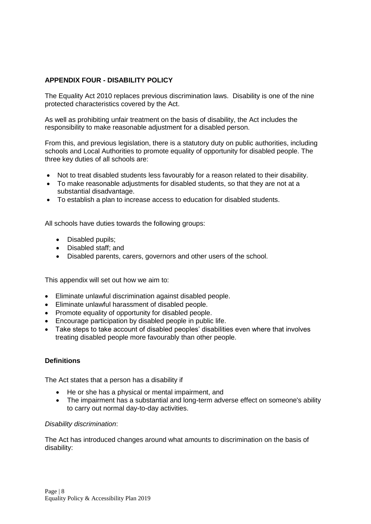# **APPENDIX FOUR - DISABILITY POLICY**

The Equality Act 2010 replaces previous discrimination laws. Disability is one of the nine protected characteristics covered by the Act.

As well as prohibiting unfair treatment on the basis of disability, the Act includes the responsibility to make reasonable adjustment for a disabled person.

From this, and previous legislation, there is a statutory duty on public authorities, including schools and Local Authorities to promote equality of opportunity for disabled people. The three key duties of all schools are:

- Not to treat disabled students less favourably for a reason related to their disability.
- To make reasonable adjustments for disabled students, so that they are not at a substantial disadvantage.
- To establish a plan to increase access to education for disabled students.

All schools have duties towards the following groups:

- Disabled pupils;
- Disabled staff; and
- Disabled parents, carers, governors and other users of the school.

This appendix will set out how we aim to:

- Eliminate unlawful discrimination against disabled people.
- Eliminate unlawful harassment of disabled people.
- Promote equality of opportunity for disabled people.
- Encourage participation by disabled people in public life.
- Take steps to take account of disabled peoples' disabilities even where that involves treating disabled people more favourably than other people.

# **Definitions**

The Act states that a person has a disability if

- He or she has a physical or mental impairment, and
- The impairment has a substantial and long-term adverse effect on someone's ability to carry out normal day-to-day activities.

#### *Disability discrimination*:

The Act has introduced changes around what amounts to discrimination on the basis of disability: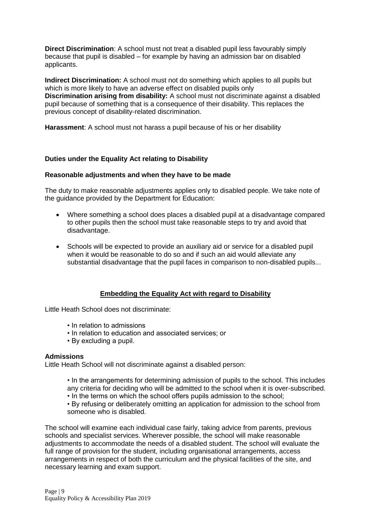**Direct Discrimination**: A school must not treat a disabled pupil less favourably simply because that pupil is disabled – for example by having an admission bar on disabled applicants.

**Indirect Discrimination:** A school must not do something which applies to all pupils but which is more likely to have an adverse effect on disabled pupils only **Discrimination arising from disability:** A school must not discriminate against a disabled pupil because of something that is a consequence of their disability. This replaces the previous concept of disability-related discrimination.

**Harassment**: A school must not harass a pupil because of his or her disability

# **Duties under the Equality Act relating to Disability**

#### **Reasonable adjustments and when they have to be made**

The duty to make reasonable adjustments applies only to disabled people. We take note of the guidance provided by the Department for Education:

- Where something a school does places a disabled pupil at a disadvantage compared to other pupils then the school must take reasonable steps to try and avoid that disadvantage.
- Schools will be expected to provide an auxiliary aid or service for a disabled pupil when it would be reasonable to do so and if such an aid would alleviate any substantial disadvantage that the pupil faces in comparison to non-disabled pupils...

# **Embedding the Equality Act with regard to Disability**

Little Heath School does not discriminate:

- In relation to admissions
- In relation to education and associated services; or
- By excluding a pupil.

#### **Admissions**

Little Heath School will not discriminate against a disabled person:

- In the arrangements for determining admission of pupils to the school. This includes any criteria for deciding who will be admitted to the school when it is over-subscribed.
- In the terms on which the school offers pupils admission to the school;
- By refusing or deliberately omitting an application for admission to the school from someone who is disabled.

The school will examine each individual case fairly, taking advice from parents, previous schools and specialist services. Wherever possible, the school will make reasonable adjustments to accommodate the needs of a disabled student. The school will evaluate the full range of provision for the student, including organisational arrangements, access arrangements in respect of both the curriculum and the physical facilities of the site, and necessary learning and exam support.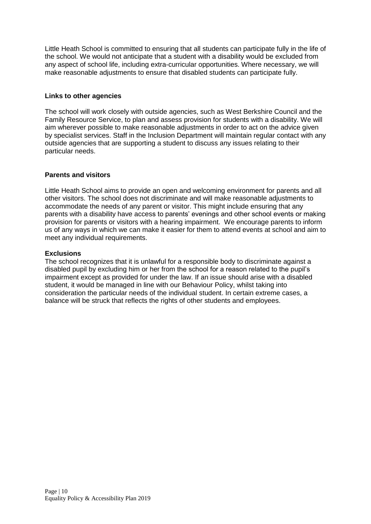Little Heath School is committed to ensuring that all students can participate fully in the life of the school. We would not anticipate that a student with a disability would be excluded from any aspect of school life, including extra-curricular opportunities. Where necessary, we will make reasonable adjustments to ensure that disabled students can participate fully.

# **Links to other agencies**

The school will work closely with outside agencies, such as West Berkshire Council and the Family Resource Service, to plan and assess provision for students with a disability. We will aim wherever possible to make reasonable adjustments in order to act on the advice given by specialist services. Staff in the Inclusion Department will maintain regular contact with any outside agencies that are supporting a student to discuss any issues relating to their particular needs.

# **Parents and visitors**

Little Heath School aims to provide an open and welcoming environment for parents and all other visitors. The school does not discriminate and will make reasonable adjustments to accommodate the needs of any parent or visitor. This might include ensuring that any parents with a disability have access to parents' evenings and other school events or making provision for parents or visitors with a hearing impairment. We encourage parents to inform us of any ways in which we can make it easier for them to attend events at school and aim to meet any individual requirements.

# **Exclusions**

The school recognizes that it is unlawful for a responsible body to discriminate against a disabled pupil by excluding him or her from the school for a reason related to the pupil's impairment except as provided for under the law. If an issue should arise with a disabled student, it would be managed in line with our Behaviour Policy, whilst taking into consideration the particular needs of the individual student. In certain extreme cases, a balance will be struck that reflects the rights of other students and employees.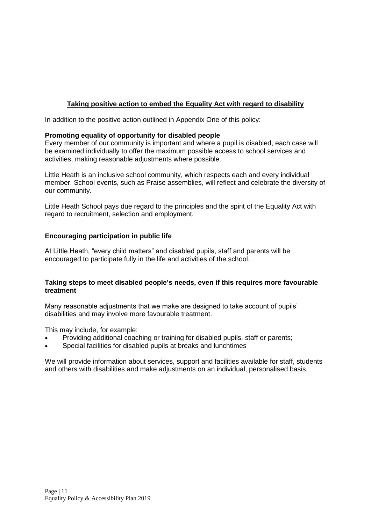# **Taking positive action to embed the Equality Act with regard to disability**

In addition to the positive action outlined in Appendix One of this policy:

# **Promoting equality of opportunity for disabled people**

Every member of our community is important and where a pupil is disabled, each case will be examined individually to offer the maximum possible access to school services and activities, making reasonable adjustments where possible.

Little Heath is an inclusive school community, which respects each and every individual member. School events, such as Praise assemblies, will reflect and celebrate the diversity of our community.

Little Heath School pays due regard to the principles and the spirit of the Equality Act with regard to recruitment, selection and employment.

# **Encouraging participation in public life**

At Little Heath, "every child matters" and disabled pupils, staff and parents will be encouraged to participate fully in the life and activities of the school.

# **Taking steps to meet disabled people's needs, even if this requires more favourable treatment**

Many reasonable adjustments that we make are designed to take account of pupils' disabilities and may involve more favourable treatment.

This may include, for example:

- Providing additional coaching or training for disabled pupils, staff or parents;
- Special facilities for disabled pupils at breaks and lunchtimes

We will provide information about services, support and facilities available for staff, students and others with disabilities and make adjustments on an individual, personalised basis.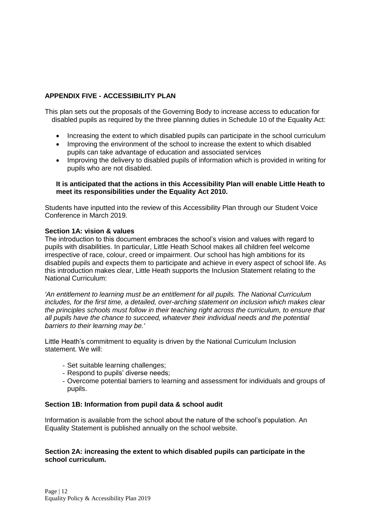# **APPENDIX FIVE - ACCESSIBILITY PLAN**

This plan sets out the proposals of the Governing Body to increase access to education for disabled pupils as required by the three planning duties in Schedule 10 of the Equality Act:

- Increasing the extent to which disabled pupils can participate in the school curriculum
- Improving the environment of the school to increase the extent to which disabled pupils can take advantage of education and associated services
- Improving the delivery to disabled pupils of information which is provided in writing for pupils who are not disabled.

#### **It is anticipated that the actions in this Accessibility Plan will enable Little Heath to meet its responsibilities under the Equality Act 2010.**

Students have inputted into the review of this Accessibility Plan through our Student Voice Conference in March 2019.

#### **Section 1A: vision & values**

The introduction to this document embraces the school's vision and values with regard to pupils with disabilities. In particular, Little Heath School makes all children feel welcome irrespective of race, colour, creed or impairment. Our school has high ambitions for its disabled pupils and expects them to participate and achieve in every aspect of school life. As this introduction makes clear, Little Heath supports the Inclusion Statement relating to the National Curriculum:

*'An entitlement to learning must be an entitlement for all pupils. The National Curriculum includes, for the first time, a detailed, over-arching statement on inclusion which makes clear the principles schools must follow in their teaching right across the curriculum, to ensure that all pupils have the chance to succeed, whatever their individual needs and the potential barriers to their learning may be.'*

Little Heath's commitment to equality is driven by the National Curriculum Inclusion statement. We will:

- Set suitable learning challenges;
- Respond to pupils' diverse needs;
- Overcome potential barriers to learning and assessment for individuals and groups of pupils.

#### **Section 1B: Information from pupil data & school audit**

Information is available from the school about the nature of the school's population. An Equality Statement is published annually on the school website.

#### **Section 2A: increasing the extent to which disabled pupils can participate in the school curriculum.**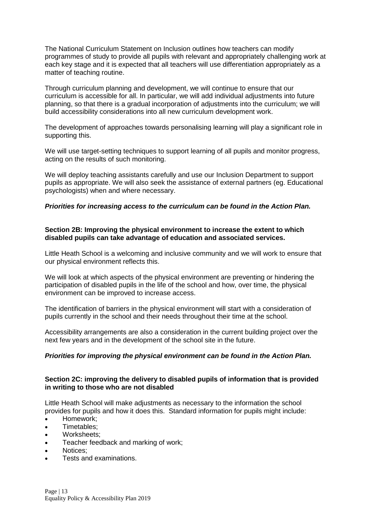The National Curriculum Statement on Inclusion outlines how teachers can modify programmes of study to provide all pupils with relevant and appropriately challenging work at each key stage and it is expected that all teachers will use differentiation appropriately as a matter of teaching routine.

Through curriculum planning and development, we will continue to ensure that our curriculum is accessible for all. In particular, we will add individual adjustments into future planning, so that there is a gradual incorporation of adjustments into the curriculum; we will build accessibility considerations into all new curriculum development work.

The development of approaches towards personalising learning will play a significant role in supporting this.

We will use target-setting techniques to support learning of all pupils and monitor progress, acting on the results of such monitoring.

We will deploy teaching assistants carefully and use our Inclusion Department to support pupils as appropriate. We will also seek the assistance of external partners (eg. Educational psychologists) when and where necessary.

# *Priorities for increasing access to the curriculum can be found in the Action Plan.*

#### **Section 2B: Improving the physical environment to increase the extent to which disabled pupils can take advantage of education and associated services.**

Little Heath School is a welcoming and inclusive community and we will work to ensure that our physical environment reflects this.

We will look at which aspects of the physical environment are preventing or hindering the participation of disabled pupils in the life of the school and how, over time, the physical environment can be improved to increase access.

The identification of barriers in the physical environment will start with a consideration of pupils currently in the school and their needs throughout their time at the school.

Accessibility arrangements are also a consideration in the current building project over the next few years and in the development of the school site in the future.

# *Priorities for improving the physical environment can be found in the Action Plan.*

# **Section 2C: improving the delivery to disabled pupils of information that is provided in writing to those who are not disabled**

Little Heath School will make adjustments as necessary to the information the school provides for pupils and how it does this. Standard information for pupils might include:

- Homework;
- Timetables;
- Worksheets;
- Teacher feedback and marking of work;
- Notices;
- Tests and examinations.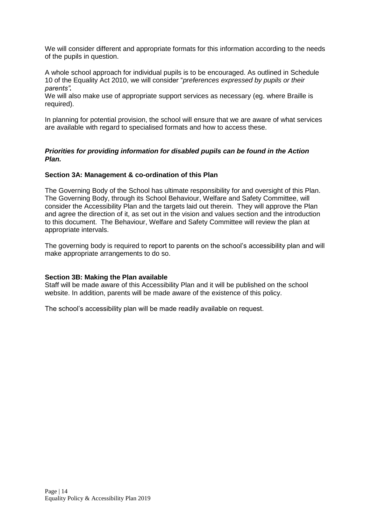We will consider different and appropriate formats for this information according to the needs of the pupils in question.

A whole school approach for individual pupils is to be encouraged. As outlined in Schedule 10 of the Equality Act 2010, we will consider "*preferences expressed by pupils or their parents".*

We will also make use of appropriate support services as necessary (eg. where Braille is required).

In planning for potential provision, the school will ensure that we are aware of what services are available with regard to specialised formats and how to access these.

# *Priorities for providing information for disabled pupils can be found in the Action Plan.*

# **Section 3A: Management & co-ordination of this Plan**

The Governing Body of the School has ultimate responsibility for and oversight of this Plan. The Governing Body, through its School Behaviour, Welfare and Safety Committee, will consider the Accessibility Plan and the targets laid out therein. They will approve the Plan and agree the direction of it, as set out in the vision and values section and the introduction to this document. The Behaviour, Welfare and Safety Committee will review the plan at appropriate intervals.

The governing body is required to report to parents on the school's accessibility plan and will make appropriate arrangements to do so.

# **Section 3B: Making the Plan available**

Staff will be made aware of this Accessibility Plan and it will be published on the school website. In addition, parents will be made aware of the existence of this policy.

The school's accessibility plan will be made readily available on request.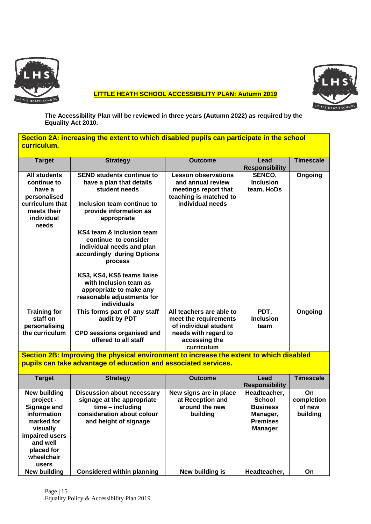

# **LITTLE HEATH SCHOOL ACCESSIBILITY PLAN: Autumn 2019**



**The Accessibility Plan will be reviewed in three years (Autumn 2022) as required by the Equality Act 2010.** 

| Section 2A: increasing the extent to which disabled pupils can participate in the school |  |
|------------------------------------------------------------------------------------------|--|
| <b>Curriculum.</b>                                                                       |  |

| <b>Target</b>       | <b>Strategy</b>                   | <b>Outcome</b>             | Lead<br><b>Responsibility</b> | <b>Timescale</b> |
|---------------------|-----------------------------------|----------------------------|-------------------------------|------------------|
| <b>All students</b> | <b>SEND students continue to</b>  | <b>Lesson observations</b> | SENCO,                        | Ongoing          |
| continue to         | have a plan that details          | and annual review          | <b>Inclusion</b>              |                  |
| have a              | student needs                     | meetings report that       | team, HoDs                    |                  |
| personalised        |                                   | teaching is matched to     |                               |                  |
| curriculum that     | Inclusion team continue to        | individual needs           |                               |                  |
| meets their         | provide information as            |                            |                               |                  |
| individual          | appropriate                       |                            |                               |                  |
| needs               |                                   |                            |                               |                  |
|                     | KS4 team & Inclusion team         |                            |                               |                  |
|                     | continue to consider              |                            |                               |                  |
|                     | individual needs and plan         |                            |                               |                  |
|                     | accordingly during Options        |                            |                               |                  |
|                     | process                           |                            |                               |                  |
|                     |                                   |                            |                               |                  |
|                     | KS3, KS4, KS5 teams liaise        |                            |                               |                  |
|                     | with Inclusion team as            |                            |                               |                  |
|                     | appropriate to make any           |                            |                               |                  |
|                     | reasonable adjustments for        |                            |                               |                  |
|                     | individuals                       |                            |                               |                  |
| <b>Training for</b> | This forms part of any staff      | All teachers are able to   | PDT,                          | Ongoing          |
| staff on            | audit by PDT                      | meet the requirements      | <b>Inclusion</b>              |                  |
| personalising       |                                   | of individual student      | team                          |                  |
| the curriculum      | <b>CPD sessions organised and</b> | needs with regard to       |                               |                  |
|                     | offered to all staff              | accessing the              |                               |                  |
|                     |                                   | curriculum                 |                               |                  |

**Section 2B: Improving the physical environment to increase the extent to which disabled pupils can take advantage of education and associated services.** 

| <b>Target</b>                                                                                                                                               | <b>Strategy</b>                                                                                                                       | <b>Outcome</b>                                                           | Lead<br><b>Responsibility</b>                                                              | Timescale                              |
|-------------------------------------------------------------------------------------------------------------------------------------------------------------|---------------------------------------------------------------------------------------------------------------------------------------|--------------------------------------------------------------------------|--------------------------------------------------------------------------------------------|----------------------------------------|
| <b>New building</b><br>project -<br>Signage and<br>information<br>marked for<br>visually<br>impaired users<br>and well<br>placed for<br>wheelchair<br>users | Discussion about necessary<br>signage at the appropriate<br>$time - including$<br>consideration about colour<br>and height of signage | New signs are in place<br>at Reception and<br>around the new<br>building | Headteacher,<br>School<br><b>Business</b><br>Manager,<br><b>Premises</b><br><b>Manager</b> | On<br>completion<br>of new<br>building |
| New building                                                                                                                                                | <b>Considered within planning</b>                                                                                                     | New building is                                                          | Headteacher,                                                                               | On                                     |